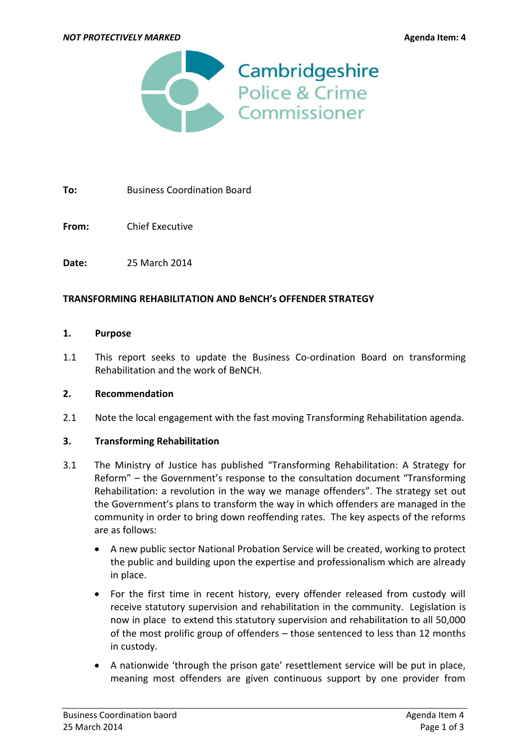

**To:** Business Coordination Board

**From:** Chief Executive

**Date:** 25 March 2014

### **TRANSFORMING REHABILITATION AND BeNCH's OFFENDER STRATEGY**

#### **1. Purpose**

1.1 This report seeks to update the Business Co-ordination Board on transforming Rehabilitation and the work of BeNCH.

### **2. Recommendation**

2.1 Note the local engagement with the fast moving Transforming Rehabilitation agenda.

#### **3. Transforming Rehabilitation**

- 3.1 The Ministry of Justice has published ["Transforming Rehabilitation: A Strategy for](https://consult.justice.gov.uk/digital-communications/transforming-rehabilitation)  [Reform"](https://consult.justice.gov.uk/digital-communications/transforming-rehabilitation) – the Government's response to the consultation document "Transforming Rehabilitation: a revolution in the way we manage offenders". The strategy set out the Government's plans to transform the way in which offenders are managed in the community in order to bring down reoffending rates. The key aspects of the reforms are as follows:
	- A new public sector National Probation Service will be created, working to protect the public and building upon the expertise and professionalism which are already in place.
	- For the first time in recent history, every offender released from custody will receive statutory supervision and rehabilitation in the community. Legislation is now in place to extend this statutory supervision and rehabilitation to all 50,000 of the most prolific group of offenders – those sentenced to less than 12 months in custody.
	- A nationwide 'through the prison gate' resettlement service will be put in place, meaning most offenders are given continuous support by one provider from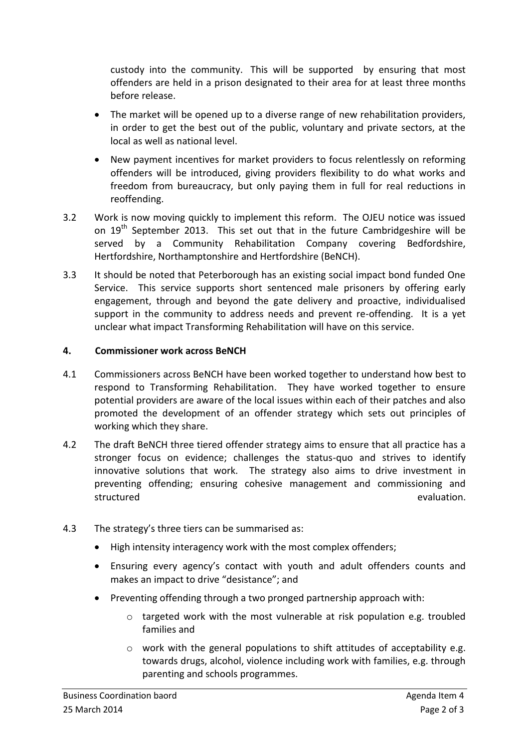custody into the community. This will be supported by ensuring that most offenders are held in a prison designated to their area for at least three months before release.

- The market will be opened up to a diverse range of new rehabilitation providers, in order to get the best out of the public, voluntary and private sectors, at the local as well as national level.
- New payment incentives for market providers to focus relentlessly on reforming offenders will be introduced, giving providers flexibility to do what works and freedom from bureaucracy, but only paying them in full for real reductions in reoffending.
- 3.2 Work is now moving quickly to implement this reform. The OJEU notice was issued on  $19^{th}$  September 2013. This set out that in the future Cambridgeshire will be served by a Community Rehabilitation Company covering Bedfordshire, Hertfordshire, Northamptonshire and Hertfordshire (BeNCH).
- 3.3 It should be noted that Peterborough has an existing social impact bond funded One Service. This service supports short sentenced male prisoners by offering early engagement, through and beyond the gate delivery and proactive, individualised support in the community to address needs and prevent re-offending. It is a yet unclear what impact Transforming Rehabilitation will have on this service.

## **4. Commissioner work across BeNCH**

- 4.1 Commissioners across BeNCH have been worked together to understand how best to respond to Transforming Rehabilitation. They have worked together to ensure potential providers are aware of the local issues within each of their patches and also promoted the development of an offender strategy which sets out principles of working which they share.
- 4.2 The draft BeNCH three tiered offender strategy aims to ensure that all practice has a stronger focus on evidence; challenges the status-quo and strives to identify innovative solutions that work. The strategy also aims to drive investment in preventing offending; ensuring cohesive management and commissioning and structured evaluation.
- 4.3 The strategy's three tiers can be summarised as:
	- High intensity interagency work with the most complex offenders;
	- Ensuring every agency's contact with youth and adult offenders counts and makes an impact to drive "desistance"; and
	- Preventing offending through a two pronged partnership approach with:
		- o targeted work with the most vulnerable at risk population e.g. troubled families and
		- $\circ$  work with the general populations to shift attitudes of acceptability e.g. towards drugs, alcohol, violence including work with families, e.g. through parenting and schools programmes.